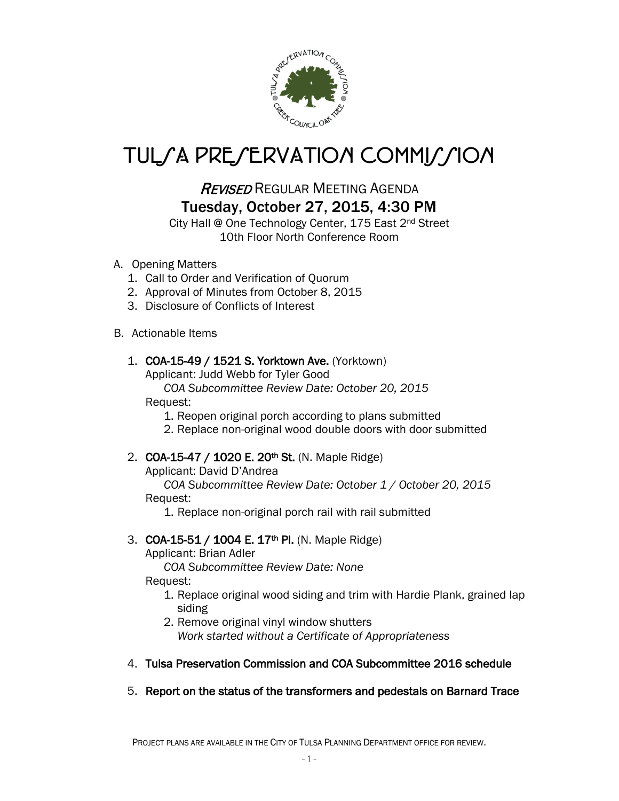

# TUL*SA PRESERVATION COMMISSION*

## REVISED REGULAR MEETING AGENDA Tuesday, October 27, 2015, 4:30 PM

City Hall @ One Technology Center, 175 East 2nd Street 10th Floor North Conference Room

- A. Opening Matters
	- 1. Call to Order and Verification of Quorum
	- 2. Approval of Minutes from October 8, 2015
	- 3. Disclosure of Conflicts of Interest

#### B. Actionable Items

#### 1. COA-15-49 / 1521 S. Yorktown Ave. (Yorktown)

Applicant: Judd Webb for Tyler Good

*COA Subcommittee Review Date: October 20, 2015*

#### Request:

1. Reopen original porch according to plans submitted

2. Replace non-original wood double doors with door submitted

### 2. **COA-15-47 / 1020 E. 20<sup>th</sup> St.** (N. Maple Ridge)

Applicant: David D'Andrea

 *COA Subcommittee Review Date: October 1 / October 20, 2015* Request:

1. Replace non-original porch rail with rail submitted

#### 3. **COA-15-51 / 1004 E. 17<sup>th</sup> PI.** (N. Maple Ridge)

Applicant: Brian Adler

 *COA Subcommittee Review Date: None* Request:

1. Replace original wood siding and trim with Hardie Plank, grained lap siding

2. Remove original vinyl window shutters *Work started without a Certificate of Appropriateness*

#### 4. Tulsa Preservation Commission and COA Subcommittee 2016 schedule

5. Report on the status of the transformers and pedestals on Barnard Trace

PROJECT PLANS ARE AVAILABLE IN THE CITY OF TULSA PLANNING DEPARTMENT OFFICE FOR REVIEW.